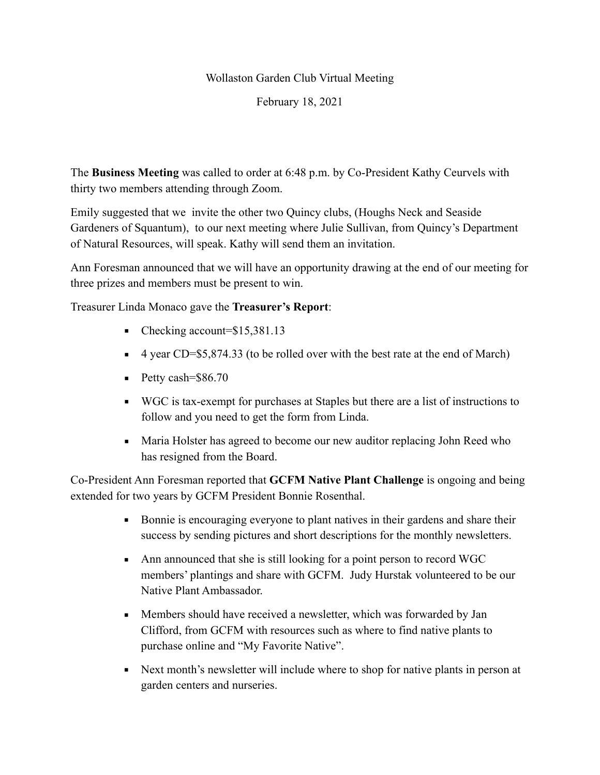## Wollaston Garden Club Virtual Meeting

February 18, 2021

The **Business Meeting** was called to order at 6:48 p.m. by Co-President Kathy Ceurvels with thirty two members attending through Zoom.

Emily suggested that we invite the other two Quincy clubs, (Houghs Neck and Seaside Gardeners of Squantum), to our next meeting where Julie Sullivan, from Quincy's Department of Natural Resources, will speak. Kathy will send them an invitation.

Ann Foresman announced that we will have an opportunity drawing at the end of our meeting for three prizes and members must be present to win.

Treasurer Linda Monaco gave the **Treasurer's Report**:

- Checking account=\$15,381.13
- 4 year CD=\$5,874.33 (to be rolled over with the best rate at the end of March)
- $\blacksquare$  Petty cash=\$86.70
- WGC is tax-exempt for purchases at Staples but there are a list of instructions to follow and you need to get the form from Linda.
- Maria Holster has agreed to become our new auditor replacing John Reed who has resigned from the Board.

Co-President Ann Foresman reported that **GCFM Native Plant Challenge** is ongoing and being extended for two years by GCFM President Bonnie Rosenthal.

- Bonnie is encouraging everyone to plant natives in their gardens and share their success by sending pictures and short descriptions for the monthly newsletters.
- Ann announced that she is still looking for a point person to record WGC members' plantings and share with GCFM. Judy Hurstak volunteered to be our Native Plant Ambassador.
- **EXECUTE:** Members should have received a newsletter, which was forwarded by Jan Clifford, from GCFM with resources such as where to find native plants to purchase online and "My Favorite Native".
- Next month's newsletter will include where to shop for native plants in person at garden centers and nurseries.